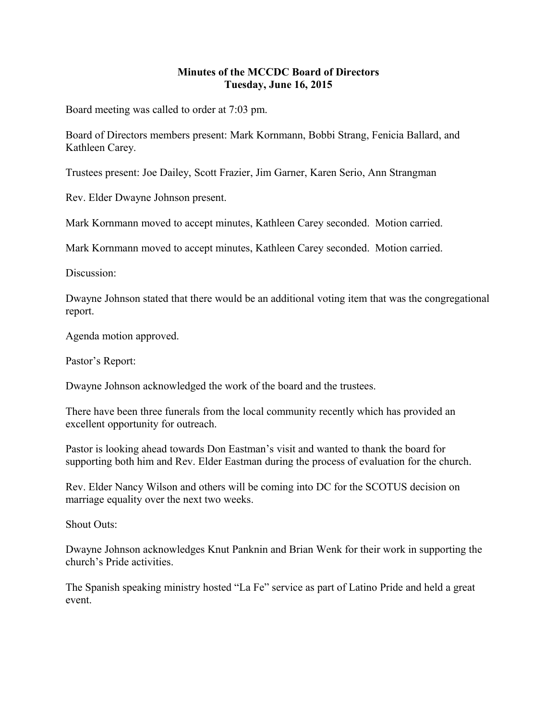## **Minutes of the MCCDC Board of Directors Tuesday, June 16, 2015**

Board meeting was called to order at 7:03 pm.

Board of Directors members present: Mark Kornmann, Bobbi Strang, Fenicia Ballard, and Kathleen Carey.

Trustees present: Joe Dailey, Scott Frazier, Jim Garner, Karen Serio, Ann Strangman

Rev. Elder Dwayne Johnson present.

Mark Kornmann moved to accept minutes, Kathleen Carey seconded. Motion carried.

Mark Kornmann moved to accept minutes, Kathleen Carey seconded. Motion carried.

Discussion:

Dwayne Johnson stated that there would be an additional voting item that was the congregational report.

Agenda motion approved.

Pastor's Report:

Dwayne Johnson acknowledged the work of the board and the trustees.

There have been three funerals from the local community recently which has provided an excellent opportunity for outreach.

Pastor is looking ahead towards Don Eastman's visit and wanted to thank the board for supporting both him and Rev. Elder Eastman during the process of evaluation for the church.

Rev. Elder Nancy Wilson and others will be coming into DC for the SCOTUS decision on marriage equality over the next two weeks.

Shout Outs:

Dwayne Johnson acknowledges Knut Panknin and Brian Wenk for their work in supporting the church's Pride activities.

The Spanish speaking ministry hosted "La Fe" service as part of Latino Pride and held a great event.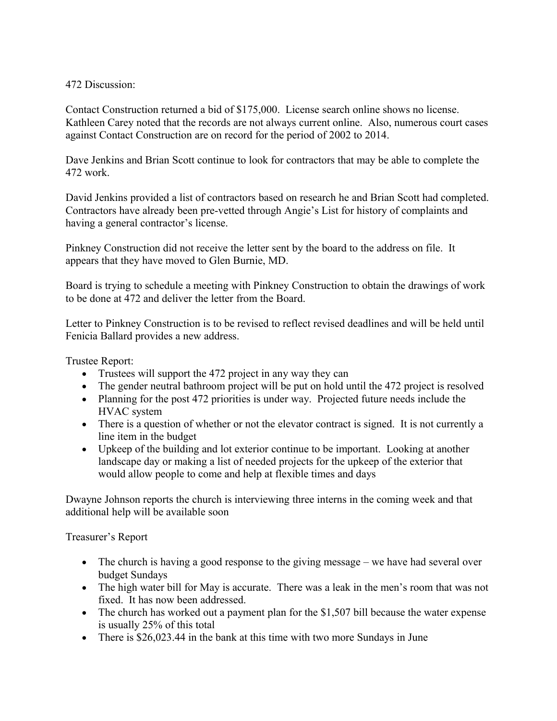## 472 Discussion:

Contact Construction returned a bid of \$175,000. License search online shows no license. Kathleen Carey noted that the records are not always current online. Also, numerous court cases against Contact Construction are on record for the period of 2002 to 2014.

Dave Jenkins and Brian Scott continue to look for contractors that may be able to complete the 472 work.

David Jenkins provided a list of contractors based on research he and Brian Scott had completed. Contractors have already been pre-vetted through Angie's List for history of complaints and having a general contractor's license.

Pinkney Construction did not receive the letter sent by the board to the address on file. It appears that they have moved to Glen Burnie, MD.

Board is trying to schedule a meeting with Pinkney Construction to obtain the drawings of work to be done at 472 and deliver the letter from the Board.

Letter to Pinkney Construction is to be revised to reflect revised deadlines and will be held until Fenicia Ballard provides a new address.

Trustee Report:

- Trustees will support the 472 project in any way they can
- The gender neutral bathroom project will be put on hold until the 472 project is resolved
- Planning for the post 472 priorities is under way. Projected future needs include the HVAC system
- There is a question of whether or not the elevator contract is signed. It is not currently a line item in the budget
- Upkeep of the building and lot exterior continue to be important. Looking at another landscape day or making a list of needed projects for the upkeep of the exterior that would allow people to come and help at flexible times and days

Dwayne Johnson reports the church is interviewing three interns in the coming week and that additional help will be available soon

Treasurer's Report

- The church is having a good response to the giving message we have had several over budget Sundays
- The high water bill for May is accurate. There was a leak in the men's room that was not fixed. It has now been addressed.
- The church has worked out a payment plan for the \$1,507 bill because the water expense is usually 25% of this total
- There is \$26,023.44 in the bank at this time with two more Sundays in June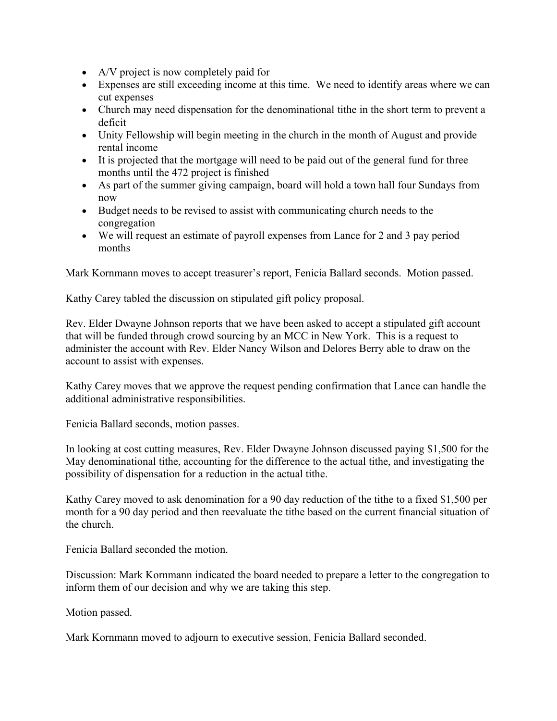- A/V project is now completely paid for
- Expenses are still exceeding income at this time. We need to identify areas where we can cut expenses
- Church may need dispensation for the denominational tithe in the short term to prevent a deficit
- Unity Fellowship will begin meeting in the church in the month of August and provide rental income
- It is projected that the mortgage will need to be paid out of the general fund for three months until the 472 project is finished
- As part of the summer giving campaign, board will hold a town hall four Sundays from now
- Budget needs to be revised to assist with communicating church needs to the congregation
- We will request an estimate of payroll expenses from Lance for 2 and 3 pay period months

Mark Kornmann moves to accept treasurer's report, Fenicia Ballard seconds. Motion passed.

Kathy Carey tabled the discussion on stipulated gift policy proposal.

Rev. Elder Dwayne Johnson reports that we have been asked to accept a stipulated gift account that will be funded through crowd sourcing by an MCC in New York. This is a request to administer the account with Rev. Elder Nancy Wilson and Delores Berry able to draw on the account to assist with expenses.

Kathy Carey moves that we approve the request pending confirmation that Lance can handle the additional administrative responsibilities.

Fenicia Ballard seconds, motion passes.

In looking at cost cutting measures, Rev. Elder Dwayne Johnson discussed paying \$1,500 for the May denominational tithe, accounting for the difference to the actual tithe, and investigating the possibility of dispensation for a reduction in the actual tithe.

Kathy Carey moved to ask denomination for a 90 day reduction of the tithe to a fixed \$1,500 per month for a 90 day period and then reevaluate the tithe based on the current financial situation of the church.

Fenicia Ballard seconded the motion.

Discussion: Mark Kornmann indicated the board needed to prepare a letter to the congregation to inform them of our decision and why we are taking this step.

Motion passed.

Mark Kornmann moved to adjourn to executive session, Fenicia Ballard seconded.